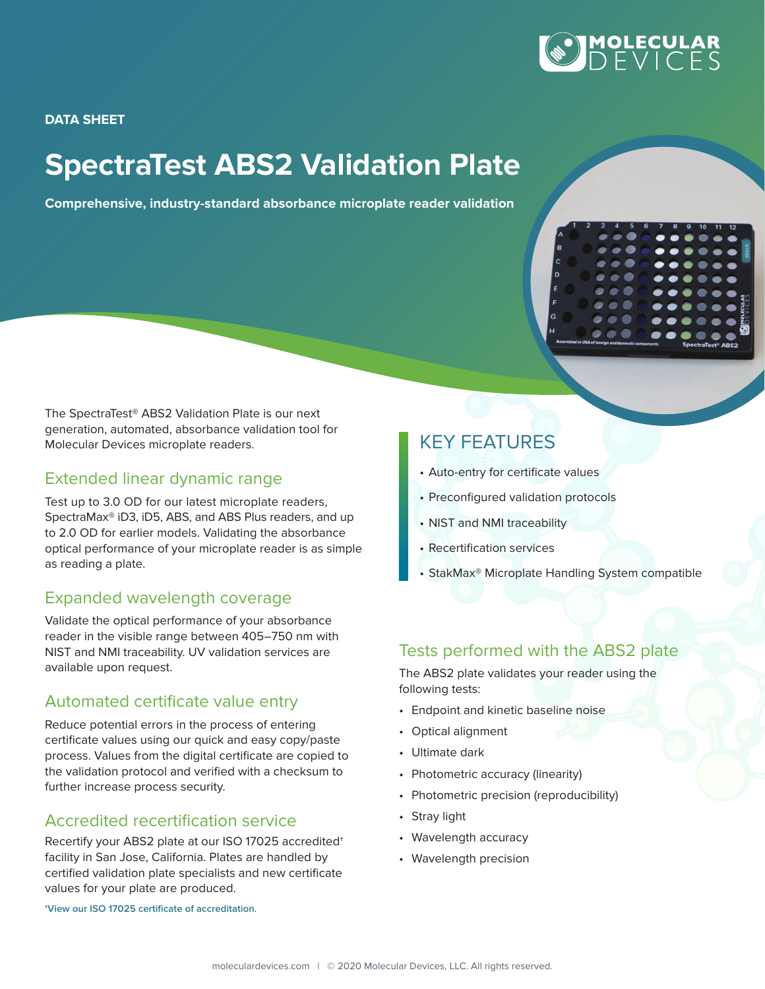

**DATA SHEET**

# **SpectraTest ABS2 Validation Plate**

**Comprehensive, industry-standard absorbance microplate reader validation**



The SpectraTest® ABS2 Validation Plate is our next generation, automated, absorbance validation tool for Molecular Devices microplate readers.

## Extended linear dynamic range

Test up to 3.0 OD for our latest microplate readers, SpectraMax® iD3, iD5, ABS, and ABS Plus readers, and up to 2.0 OD for earlier models. Validating the absorbance optical performance of your microplate reader is as simple as reading a plate.

## Expanded wavelength coverage

Validate the optical performance of your absorbance reader in the visible range between 405–750 nm with NIST and NMI traceability. UV validation services are available upon request.

## Automated certificate value entry

Reduce potential errors in the process of entering certificate values using our quick and easy copy/paste process. Values from the digital certificate are copied to the validation protocol and verified with a checksum to further increase process security.

## Accredited recertification service

Recertify your ABS2 plate at our ISO 17025 accredited† facility in San Jose, California. Plates are handled by certified validation plate specialists and new certificate values for your plate are produced.

†**[View our ISO 17025 certificate of accreditation](https://www.moleculardevices.com/integrity-compliance)**.

## KEY FEATURES

- Auto-entry for certificate values
- Preconfigured validation protocols
- NIST and NMI traceability
- Recertification services
- StakMax® Microplate Handling System compatible

## Tests performed with the ABS2 plate

The ABS2 plate validates your reader using the following tests:

- Endpoint and kinetic baseline noise
- Optical alignment
- Ultimate dark
- Photometric accuracy (linearity)
- Photometric precision (reproducibility)
- Stray light
- Wavelength accuracy
- Wavelength precision